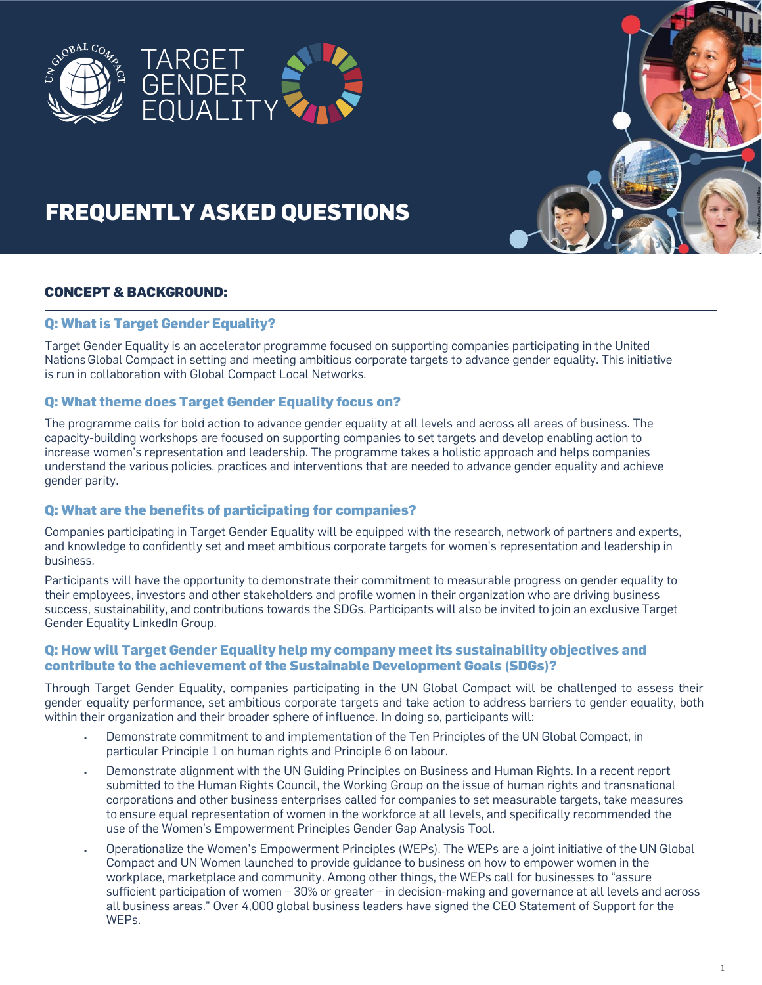

# **FREQUENTLY ASKED QUESTIONS**

# **CONCEPT & BACKGROUND:**

## **Q: What is Target Gender Equality?**

Target Gender Equality is an accelerator programme focused on supporting companies participating in the United Nations Global Compact in setting and meeting ambitious corporate targets to advance gender equality. This initiative is run in collaboration with Global Compact Local Networks.

## **Q: What theme does Target Gender Equality focus on?**

The programme calls for bold action to advance gender equality at all levels and across all areas of business. The capacity-building workshops are focused on supporting companies to set targets and develop enabling action to increase women's representation and leadership. The programme takes a holistic approach and helps companies understand the various policies, practices and interventions that are needed to advance gender equality and achieve gender parity.

## **Q: What are the benefits of participating for companies?**

Companies participating in Target Gender Equality will be equipped with the research, network of partners and experts, and knowledge to confidently set and meet ambitious corporate targets for women's representation and leadership in business.

Participants will have the opportunity to demonstrate their commitment to measurable progress on gender equality to their employees, investors and other stakeholders and profile women in their organization who are driving business success, sustainability, and contributions towards the SDGs. Participants will also be invited to join an exclusive Target Gender Equality LinkedIn Group.

## **Q: How will Target Gender Equality help my company meet its sustainability objectives and contribute to the achievement of the Sustainable Development Goals (SDGs)?**

Through Target Gender Equality, companies participating in the UN Global Compact will be challenged to assess their gender equality performance, set ambitious corporate targets and take action to address barriers to gender equality, both within their organization and their broader sphere of influence. In doing so, participants will:

- Demonstrate commitment to and implementation of the Ten Principles of the UN Global Compact, in particular Principle 1 on human rights and Principle 6 on labour.
- Demonstrate alignment with the UN Guiding Principles on Business and Human Rights. In a recent report submitted to the Human Rights Council, the Working Group on the issue of human rights and transnational corporations and other business enterprises called for companies to set measurable targets, take measures to ensure equal representation of women in the workforce at all levels, and specifically recommended the use of the Women's Empowerment Principles Gender Gap Analysis Tool.
- Operationalize the Women's Empowerment Principles (WEPs). The WEPs are a joint initiative of the UN Global Compact and UN Women launched to provide guidance to business on how to empower women in the workplace, marketplace and community. Among other things, the WEPs call for businesses to "assure sufficient participation of women – 30% or greater – in decision-making and governance at all levels and across all business areas." Over 4,000 global business leaders have signed the CEO Statement of Support for the WEPs.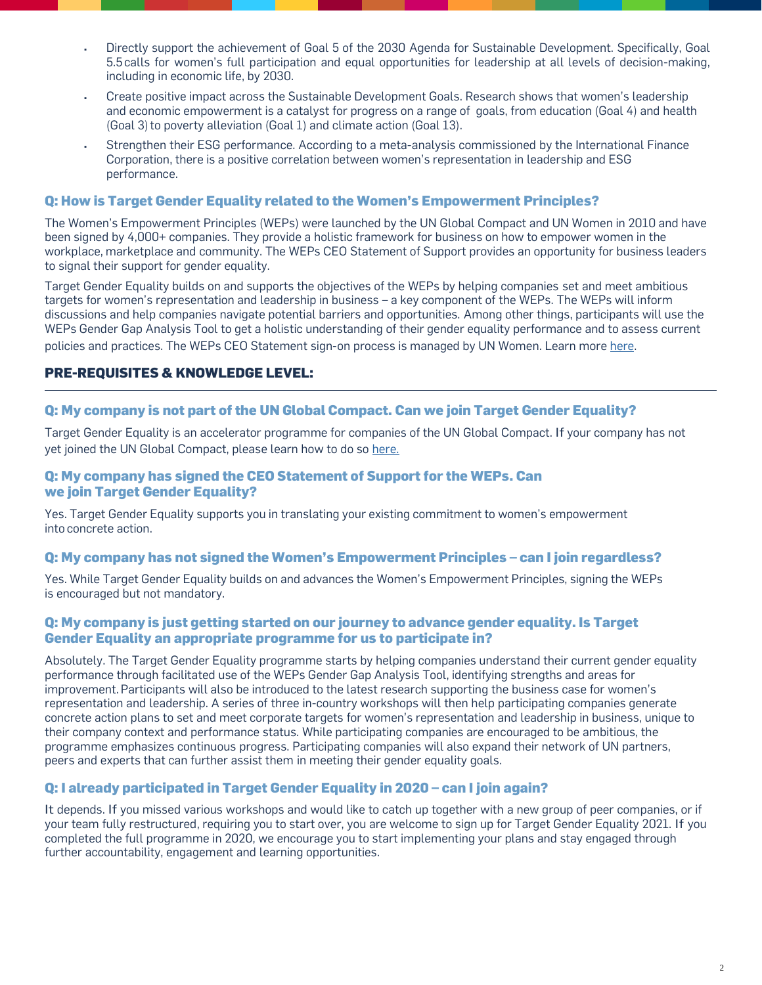- Directly support the achievement of Goal 5 of the 2030 Agenda for Sustainable Development. Specifically, Goal 5.5calls for women's full participation and equal opportunities for leadership at all levels of decision-making, including in economic life, by 2030.
- Create positive impact across the Sustainable Development Goals. Research shows that women's leadership and economic empowerment is a catalyst for progress on a range of goals, from education (Goal 4) and health (Goal 3) to poverty alleviation (Goal 1) and climate action (Goal 13).
- Strengthen their ESG performance. According to a meta-analysis commissioned by the International Finance Corporation, there is a positive correlation between women's representation in leadership and ESG performance.

#### **Q: How is Target Gender Equality related to the Women's Empowerment Principles?**

The Women's Empowerment Principles (WEPs) were launched by the UN Global Compact and UN Women in 2010 and have been signed by 4,000+ companies. They provide a holistic framework for business on how to empower women in the workplace, marketplace and community. The WEPs CEO Statement of Support provides an opportunity for business leaders to signal their support for gender equality.

Target Gender Equality builds on and supports the objectives of the WEPs by helping companies set and meet ambitious targets for women's representation and leadership in business – a key component of the WEPs. The WEPs will inform discussions and help companies navigate potential barriers and opportunities. Among other things, participants will use the WEPs Gender Gap Analysis Tool to get a holistic understanding of their gender equality performance and to assess current policies and practices. The WEPs CEO Statement sign-on process is managed by UN Women. Learn more [here.](https://www.unglobalcompact.org/take-action/action/womens-principles)

# **PRE-REQUISITES & KNOWLEDGE LEVEL:**

#### **Q: My company is not part of the UN Global Compact. Can we join Target Gender Equality?**

Target Gender Equality is an accelerator programme for companies of the UN Global Compact. If your company has not yet joined the UN Global Compact, please learn how to do so [here.](https://www.unglobalcompact.org/participation/join/)

## **Q: My company has signed the CEO Statement of Support for the WEPs. Can we join Target Gender Equality?**

Yes. Target Gender Equality supports you in translating your existing commitment to women's empowerment into concrete action.

#### **Q: My company has not signed the Women's Empowerment Principles – can I join regardless?**

Yes. While Target Gender Equality builds on and advances the Women's Empowerment Principles, signing the WEPs is encouraged but not mandatory.

## **Q: My company is just getting started on our journey to advance gender equality. Is Target Gender Equality an appropriate programme for us to participate in?**

Absolutely. The Target Gender Equality programme starts by helping companies understand their current gender equality performance through facilitated use of the WEPs Gender Gap Analysis Tool, identifying strengths and areas for improvement. Participants will also be introduced to the latest research supporting the business case for women's representation and leadership. A series of three in-country workshops will then help participating companies generate concrete action plans to set and meet corporate targets for women's representation and leadership in business, unique to their company context and performance status. While participating companies are encouraged to be ambitious, the programme emphasizes continuous progress. Participating companies will also expand their network of UN partners, peers and experts that can further assist them in meeting their gender equality goals.

## **Q: I already participated in Target Gender Equality in 2020 – can I join again?**

It depends. If you missed various workshops and would like to catch up together with a new group of peer companies, or if your team fully restructured, requiring you to start over, you are welcome to sign up for Target Gender Equality 2021. If you completed the full programme in 2020, we encourage you to start implementing your plans and stay engaged through further accountability, engagement and learning opportunities.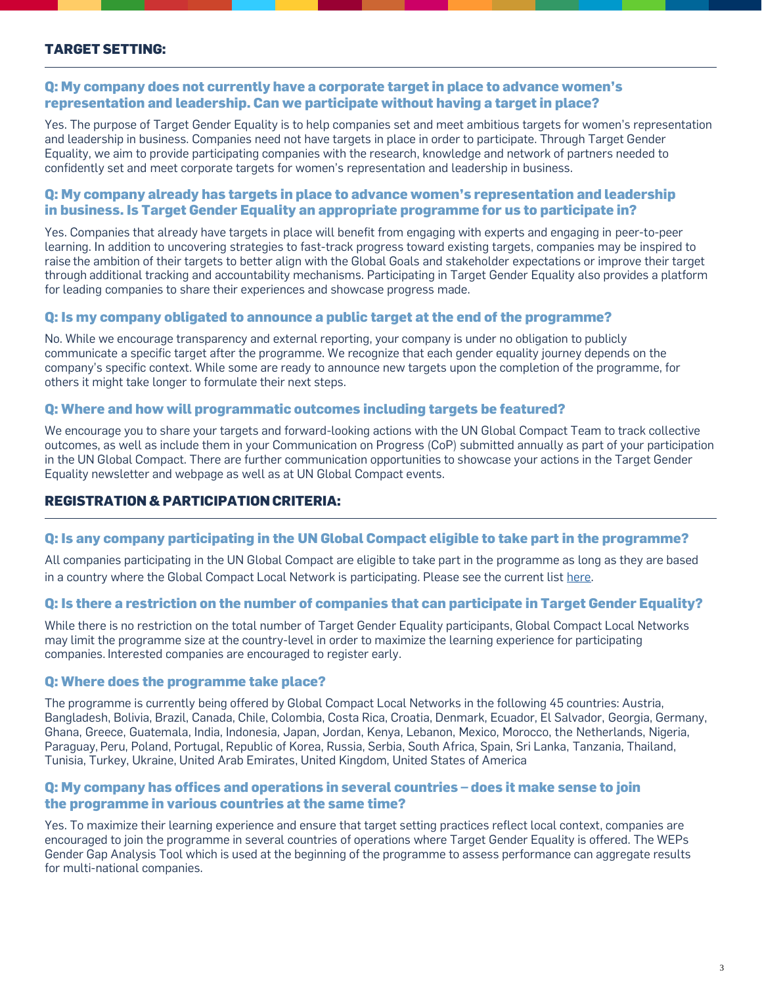# **TARGET SETTING:**

## **Q: My company does not currently have a corporate target in place to advance women's representation and leadership. Can we participate without having a target in place?**

Yes. The purpose of Target Gender Equality is to help companies set and meet ambitious targets for women's representation and leadership in business. Companies need not have targets in place in order to participate. Through Target Gender Equality, we aim to provide participating companies with the research, knowledge and network of partners needed to confidently set and meet corporate targets for women's representation and leadership in business.

## **Q: My company already has targets in place to advance women's representation and leadership in business. Is Target Gender Equality an appropriate programme for us to participate in?**

Yes. Companies that already have targets in place will benefit from engaging with experts and engaging in peer-to-peer learning. In addition to uncovering strategies to fast-track progress toward existing targets, companies may be inspired to raise the ambition of their targets to better align with the Global Goals and stakeholder expectations or improve their target through additional tracking and accountability mechanisms. Participating in Target Gender Equality also provides a platform for leading companies to share their experiences and showcase progress made.

## **Q: Is my company obligated to announce a public target at the end of the programme?**

No. While we encourage transparency and external reporting, your company is under no obligation to publicly communicate a specific target after the programme. We recognize that each gender equality journey depends on the company's specific context. While some are ready to announce new targets upon the completion of the programme, for others it might take longer to formulate their next steps.

#### **Q: Where and how will programmatic outcomes including targets be featured?**

We encourage you to share your targets and forward-looking actions with the UN Global Compact Team to track collective outcomes, as well as include them in your Communication on Progress (CoP) submitted annually as part of your participation in the UN Global Compact. There are further communication opportunities to showcase your actions in the Target Gender Equality newsletter and webpage as well as at UN Global Compact events.

# **REGISTRATION & PARTICIPATION CRITERIA:**

## **Q: Is any company participating in the UN Global Compact eligible to take part in the programme?**

All companies participating in the UN Global Compact are eligible to take part in the programme as long as they are based in a country where the Global Compact Local Network is participating. Please see the current lis[t here.](https://www.unglobalcompact.org/take-action/target-gender-equality)

## **Q: Is there a restriction on the number of companies that can participate in Target Gender Equality?**

While there is no restriction on the total number of Target Gender Equality participants, Global Compact Local Networks may limit the programme size at the country-level in order to maximize the learning experience for participating companies. Interested companies are encouraged to register early.

#### **Q: Where does the programme take place?**

The programme is currently being offered by Global Compact Local Networks in the following 45 countries: Austria, Bangladesh, Bolivia, Brazil, Canada, Chile, Colombia, Costa Rica, Croatia, Denmark, Ecuador, El Salvador, Georgia, Germany, Ghana, Greece, Guatemala, India, Indonesia, Japan, Jordan, Kenya, Lebanon, Mexico, Morocco, the Netherlands, Nigeria, Paraguay, Peru, Poland, Portugal, Republic of Korea, Russia, Serbia, South Africa, Spain, Sri Lanka, Tanzania, Thailand, Tunisia, Turkey, Ukraine, United Arab Emirates, United Kingdom, United States of America

## **Q: My company has offices and operations in several countries – does it make sense to join the programme in various countries at the same time?**

Yes. To maximize their learning experience and ensure that target setting practices reflect local context, companies are encouraged to join the programme in several countries of operations where Target Gender Equality is offered. The WEPs Gender Gap Analysis Tool which is used at the beginning of the programme to assess performance can aggregate results for multi-national companies.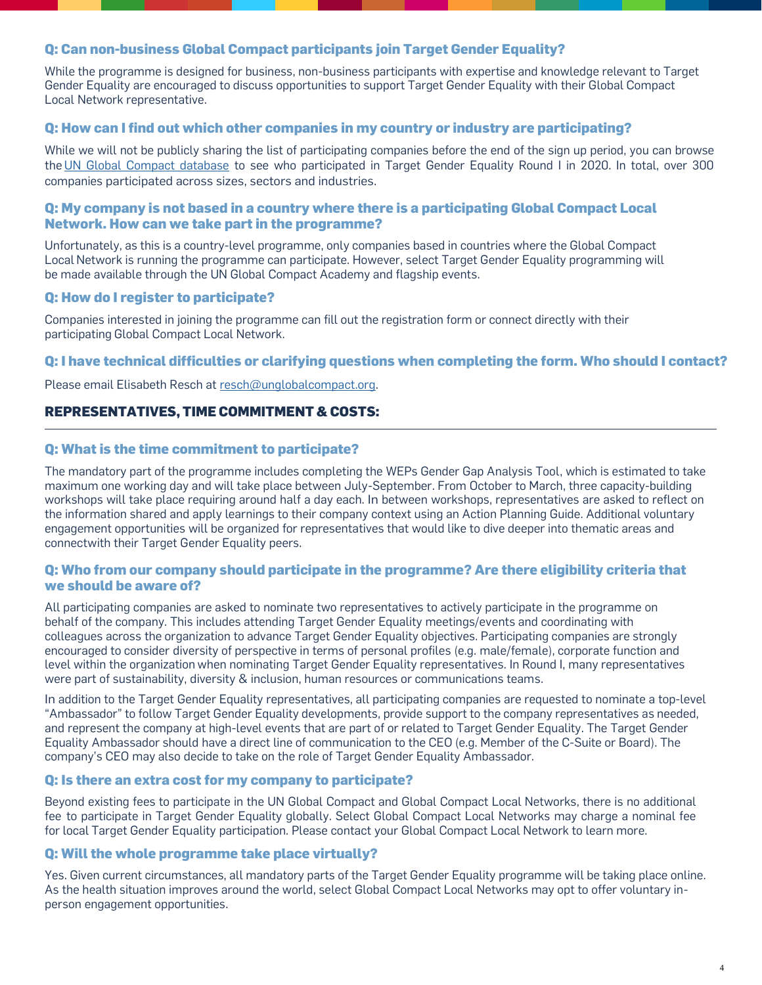## **Q: Can non-business Global Compact participants join Target Gender Equality?**

While the programme is designed for business, non-business participants with expertise and knowledge relevant to Target Gender Equality are encouraged to discuss opportunities to support Target Gender Equality with their Global Compact Local Network representative.

# **Q: How can I find out which other companies in my country or industry are participating?**

While we will not be publicly sharing the list of participating companies before the end of the sign up period, you can browse the [UN Global Compact database](https://www.unglobalcompact.org/what-is-gc/participants) to see who participated in Target Gender Equality Round I in 2020. In total, over 300 companies participated across sizes, sectors and industries.

### **Q: My company is not based in a country where there is a participating Global Compact Local Network. How can we take part in the programme?**

Unfortunately, as this is a country-level programme, only companies based in countries where the Global Compact Local Network is running the programme can participate. However, select Target Gender Equality programming will be made available through the UN Global Compact Academy and flagship events.

## **Q: How do I register to participate?**

Companies interested in joining the programme can fill out the registration form or connect directly with their participating Global Compact Local Network.

# **Q: I have technical difficulties or clarifying questions when completing the form. Who should I contact?**

Please email Elisabeth Resch a[t resch@unglobalcompact.org.](mailto:resch@unglobalcompact.org)

# **REPRESENTATIVES, TIME COMMITMENT & COSTS:**

## **Q: What is the time commitment to participate?**

The mandatory part of the programme includes completing the WEPs Gender Gap Analysis Tool, which is estimated to take maximum one working day and will take place between July-September. From October to March, three capacity-building workshops will take place requiring around half a day each. In between workshops, representatives are asked to reflect on the information shared and apply learnings to their company context using an Action Planning Guide. Additional voluntary engagement opportunities will be organized for representatives that would like to dive deeper into thematic areas and connectwith their Target Gender Equality peers.

## **Q: Who from our company should participate in the programme? Are there eligibility criteria that we should be aware of?**

All participating companies are asked to nominate two representatives to actively participate in the programme on behalf of the company. This includes attending Target Gender Equality meetings/events and coordinating with colleagues across the organization to advance Target Gender Equality objectives. Participating companies are strongly encouraged to consider diversity of perspective in terms of personal profiles (e.g. male/female), corporate function and level within the organization when nominating Target Gender Equality representatives. In Round I, many representatives were part of sustainability, diversity & inclusion, human resources or communications teams.

In addition to the Target Gender Equality representatives, all participating companies are requested to nominate a top-level "Ambassador" to follow Target Gender Equality developments, provide support to the company representatives as needed, and represent the company at high-level events that are part of or related to Target Gender Equality. The Target Gender Equality Ambassador should have a direct line of communication to the CEO (e.g. Member of the C-Suite or Board). The company's CEO may also decide to take on the role of Target Gender Equality Ambassador.

## **Q: Is there an extra cost for my company to participate?**

Beyond existing fees to participate in the UN Global Compact and Global Compact Local Networks, there is no additional fee to participate in Target Gender Equality globally. Select Global Compact Local Networks may charge a nominal fee for local Target Gender Equality participation. Please contact your Global Compact Local Network to learn more.

## **Q: Will the whole programme take place virtually?**

Yes. Given current circumstances, all mandatory parts of the Target Gender Equality programme will be taking place online. As the health situation improves around the world, select Global Compact Local Networks may opt to offer voluntary inperson engagement opportunities.